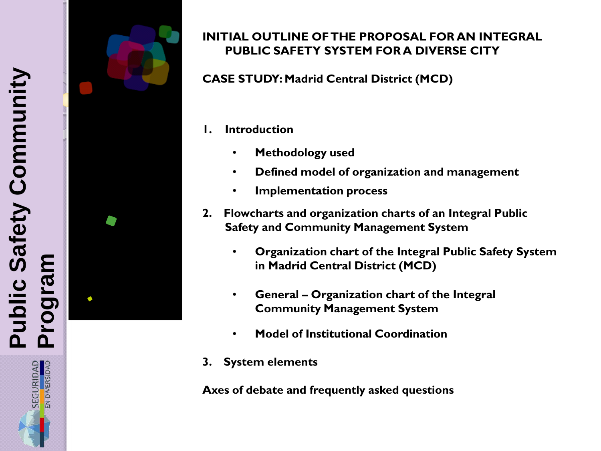

SECURIDAD<br>EN DIVERSIDAD



### **INITIAL OUTLINE OF THE PROPOSAL FOR AN INTEGRAL PUBLIC SAFETY SYSTEM FOR A DIVERSE CITY**

**CASE STUDY: Madrid Central District (MCD)**

### **1. Introduction**

- **Methodology used**
- **Defined model of organization and management**
- **Implementation process**
- **2. Flowcharts and organization charts of an Integral Public Safety and Community Management System**
	- **Organization chart of the Integral Public Safety System in Madrid Central District (MCD)**
	- **General – Organization chart of the Integral Community Management System**
	- **Model of Institutional Coordination**
- **3. System elements**

**Axes of debate and frequently asked questions**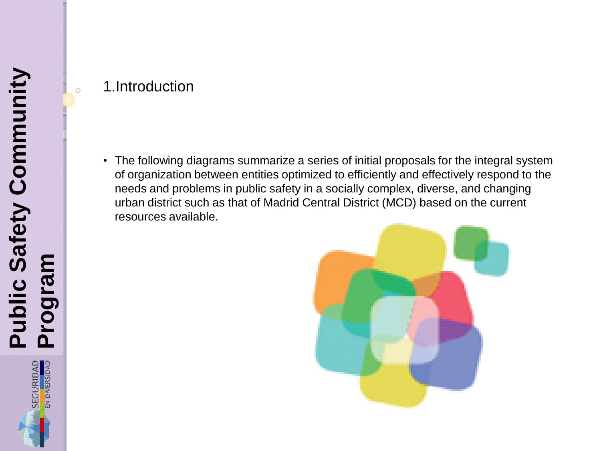# 1.Introduction

 $\overline{O}$ 

• The following diagrams summarize a series of initial proposals for the integral system of organization between entities optimized to efficiently and effectively respond to the needs and problems in public safety in a socially complex, diverse, and changing urban district such as that of Madrid Central District (MCD) based on the current resources available.

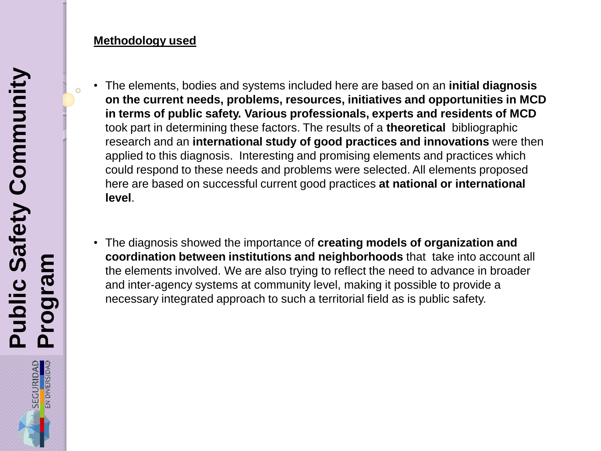#### **Methodology used**

- The elements, bodies and systems included here are based on an **initial diagnosis on the current needs, problems, resources, initiatives and opportunities in MCD in terms of public safety. Various professionals, experts and residents of MCD**  took part in determining these factors. The results of a **theoretical** bibliographic research and an **international study of good practices and innovations** were then applied to this diagnosis. Interesting and promising elements and practices which could respond to these needs and problems were selected. All elements proposed here are based on successful current good practices **at national or international level**.
	- The diagnosis showed the importance of **creating models of organization and coordination between institutions and neighborhoods** that take into account all the elements involved. We are also trying to reflect the need to advance in broader and inter-agency systems at community level, making it possible to provide a necessary integrated approach to such a territorial field as is public safety.

 $\overline{O}$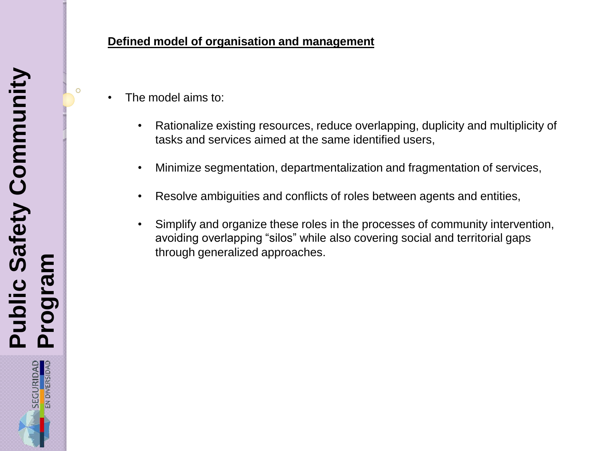$\circ$ 

#### **Defined model of organisation and management**

- The model aims to:
	- Rationalize existing resources, reduce overlapping, duplicity and multiplicity of tasks and services aimed at the same identified users,
	- Minimize segmentation, departmentalization and fragmentation of services,
	- Resolve ambiguities and conflicts of roles between agents and entities,
	- Simplify and organize these roles in the processes of community intervention, avoiding overlapping "silos" while also covering social and territorial gaps through generalized approaches.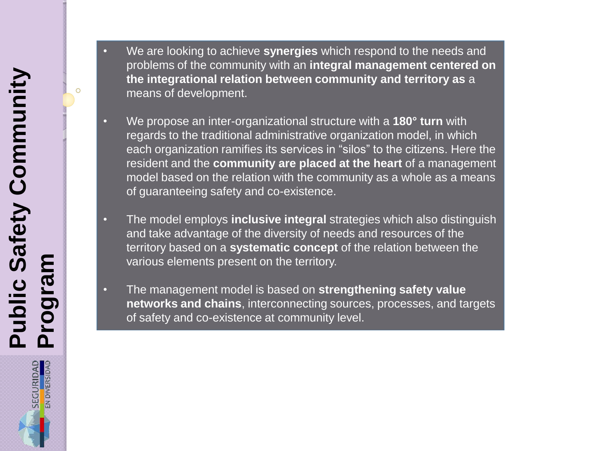SECURIDAD<br>EN DIVERSIDAD

 $\circ$ 



- We propose an inter-organizational structure with a **180° turn** with regards to the traditional administrative organization model, in which each organization ramifies its services in "silos" to the citizens. Here the resident and the **community are placed at the heart** of a management model based on the relation with the community as a whole as a means of guaranteeing safety and co-existence.
- The model employs **inclusive integral** strategies which also distinguish and take advantage of the diversity of needs and resources of the territory based on a **systematic concept** of the relation between the various elements present on the territory.
- The management model is based on **strengthening safety value networks and chains**, interconnecting sources, processes, and targets of safety and co-existence at community level.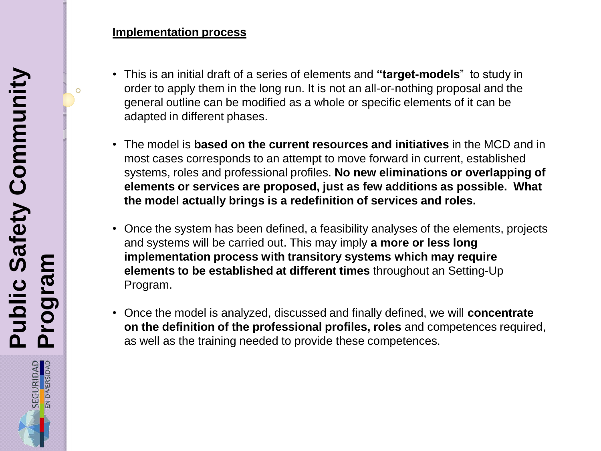#### **Implementation process**

- This is an initial draft of a series of elements and **"target-models**" to study in order to apply them in the long run. It is not an all-or-nothing proposal and the general outline can be modified as a whole or specific elements of it can be adapted in different phases.
- The model is **based on the current resources and initiatives** in the MCD and in most cases corresponds to an attempt to move forward in current, established systems, roles and professional profiles. **No new eliminations or overlapping of elements or services are proposed, just as few additions as possible. What the model actually brings is a redefinition of services and roles.**
- Once the system has been defined, a feasibility analyses of the elements, projects and systems will be carried out. This may imply **a more or less long implementation process with transitory systems which may require elements to be established at different times** throughout an Setting-Up Program.
- Once the model is analyzed, discussed and finally defined, we will **concentrate on the definition of the professional profiles, roles** and competences required, as well as the training needed to provide these competences.

 $\circ$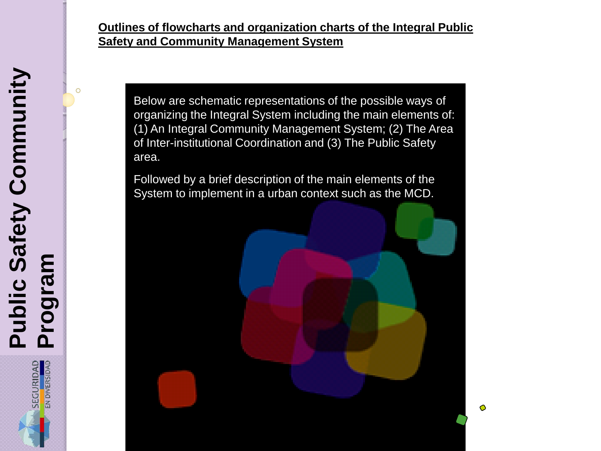#### **Outlines of flowcharts and organization charts of the Integral Public Safety and Community Management System**

Below are schematic representations of the possible ways of organizing the Integral System including the main elements of: (1) An Integral Community Management System; (2) The Area of Inter-institutional Coordination and (3) The Public Safety area.

Followed by a brief description of the main elements of the System to implement in a urban context such as the MCD.



O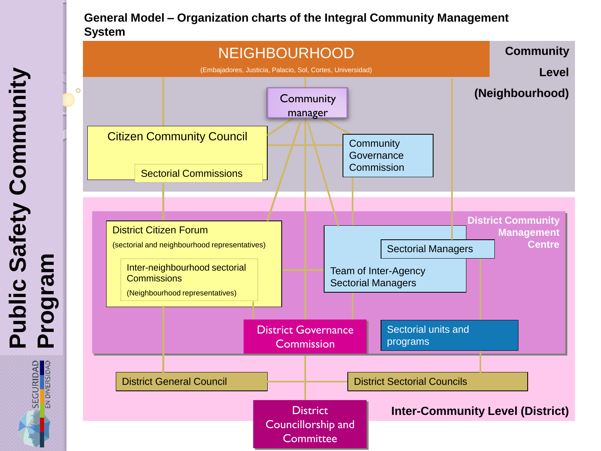#### **General Model – Organization charts of the Integral Community Management System**



SECURIDAD<br>EN DIVERSIDAD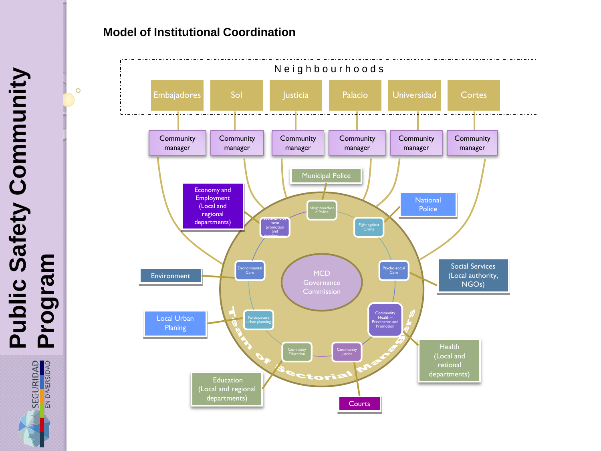#### **Model of Institutional Coordination**



**Programa Community Segram Public Safety Community Program**

 $\circ$ 

SEGURIDAD<br>EN DIVERSIDAD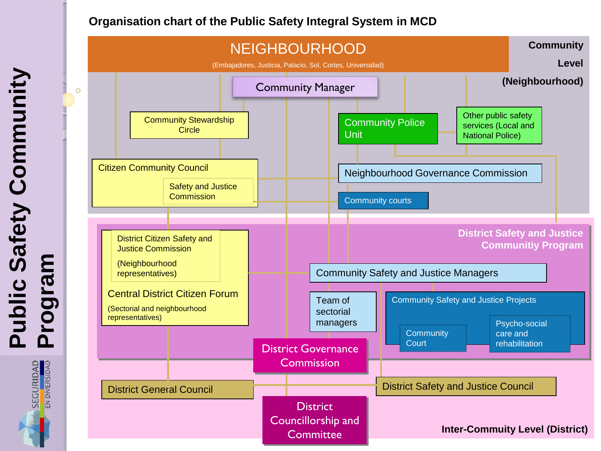#### **Organisation chart of the Public Safety Integral System in MCD**

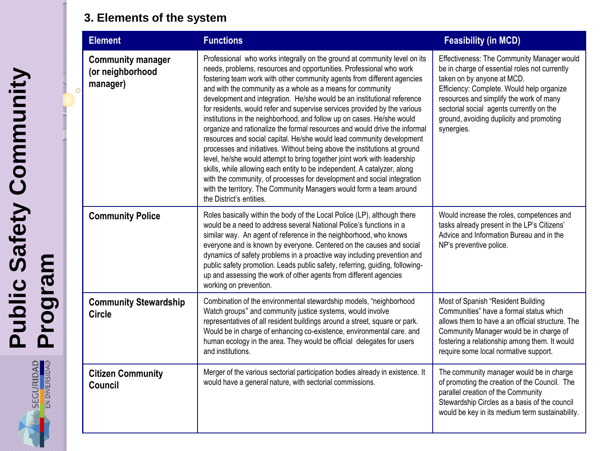# **3. Elements of the system**

| <b>Element</b> |                                              | <b>Functions</b>                                                                                                                                                                                                                                                                                                                                                                                                                                                                                                                                                                                                                                                                                                                                                                                                                                                                                                                                                                                                                                                                                      | <b>Feasibility (in MCD)</b>                                                                                                                                                                                                                                                                                             |
|----------------|----------------------------------------------|-------------------------------------------------------------------------------------------------------------------------------------------------------------------------------------------------------------------------------------------------------------------------------------------------------------------------------------------------------------------------------------------------------------------------------------------------------------------------------------------------------------------------------------------------------------------------------------------------------------------------------------------------------------------------------------------------------------------------------------------------------------------------------------------------------------------------------------------------------------------------------------------------------------------------------------------------------------------------------------------------------------------------------------------------------------------------------------------------------|-------------------------------------------------------------------------------------------------------------------------------------------------------------------------------------------------------------------------------------------------------------------------------------------------------------------------|
| manager)       | <b>Community manager</b><br>(or neighborhood | Professional who works integrally on the ground at community level on its<br>needs, problems, resources and opportunities. Professional who work<br>fostering team work with other community agents from different agencies<br>and with the community as a whole as a means for community<br>development and integration. He/she would be an institutional reference<br>for residents, would refer and supervise services provided by the various<br>institutions in the neighborhood, and follow up on cases. He/she would<br>organize and rationalize the formal resources and would drive the informal<br>resources and social capital. He/she would lead community development<br>processes and initiatives. Without being above the institutions at ground<br>level, he/she would attempt to bring together joint work with leadership<br>skills, while allowing each entity to be independent. A catalyzer, along<br>with the community, of processes for development and social integration<br>with the territory. The Community Managers would form a team around<br>the District's entities. | Effectiveness: The Community Manager would<br>be in charge of essential roles not currently<br>taken on by anyone at MCD.<br>Efficiency: Complete. Would help organize<br>resources and simplify the work of many<br>sectorial social agents currently on the<br>ground, avoiding duplicity and promoting<br>synergies. |
|                | <b>Community Police</b>                      | Roles basically within the body of the Local Police (LP), although there<br>would be a need to address several National Police's functions in a<br>similar way. An agent of reference in the neighborhood, who knows<br>everyone and is known by everyone. Centered on the causes and social<br>dynamics of safety problems in a proactive way including prevention and<br>public safety promotion. Leads public safety, referring, guiding, following-<br>up and assessing the work of other agents from different agencies<br>working on prevention.                                                                                                                                                                                                                                                                                                                                                                                                                                                                                                                                                | Would increase the roles, competences and<br>tasks already present in the LP's Citizens'<br>Advice and Information Bureau and in the<br>NP's preventive police.                                                                                                                                                         |
| Circle         | <b>Community Stewardship</b>                 | Combination of the environmental stewardship models, "neighborhood<br>Watch groups" and community justice systems, would involve<br>representatives of all resident buildings around a street, square or park.<br>Would be in charge of enhancing co-existence, environmental care, and<br>human ecology in the area. They would be official delegates for users<br>and institutions.                                                                                                                                                                                                                                                                                                                                                                                                                                                                                                                                                                                                                                                                                                                 | Most of Spanish "Resident Building<br>Communities" have a formal status which<br>allows them to have a an official structure. The<br>Community Manager would be in charge of<br>fostering a relationship among them. It would<br>require some local normative support.                                                  |
| <b>Council</b> | <b>Citizen Community</b>                     | Merger of the various sectorial participation bodies already in existence. It<br>would have a general nature, with sectorial commissions.                                                                                                                                                                                                                                                                                                                                                                                                                                                                                                                                                                                                                                                                                                                                                                                                                                                                                                                                                             | The community manager would be in charge<br>of promoting the creation of the Council. The<br>parallel creation of the Community<br>Stewardship Circles as a basis of the council<br>would be key in its medium term sustainability.                                                                                     |

SEGURIDAD<br>EN DIVERSIDAD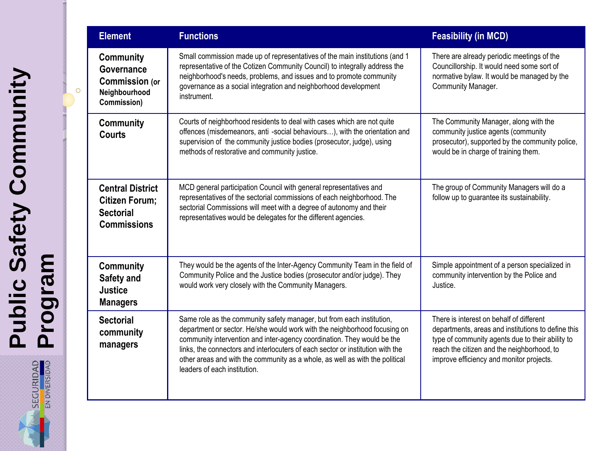|                | <b>Element</b>                                                                             | <b>Functions</b>                                                                                                                                                                                                                                                                                                                                                                                                                | <b>Feasibility (in MCD)</b>                                                                                                                                                                                                                  |
|----------------|--------------------------------------------------------------------------------------------|---------------------------------------------------------------------------------------------------------------------------------------------------------------------------------------------------------------------------------------------------------------------------------------------------------------------------------------------------------------------------------------------------------------------------------|----------------------------------------------------------------------------------------------------------------------------------------------------------------------------------------------------------------------------------------------|
| $\overline{O}$ | <b>Community</b><br>Governance<br><b>Commission (or</b><br>Neighbourhood<br>Commission)    | Small commission made up of representatives of the main institutions (and 1<br>representative of the Cotizen Community Council) to integrally address the<br>neighborhood's needs, problems, and issues and to promote community<br>governance as a social integration and neighborhood development<br>instrument.                                                                                                              | There are already periodic meetings of the<br>Councillorship. It would need some sort of<br>normative bylaw. It would be managed by the<br>Community Manager.                                                                                |
|                | <b>Community</b><br><b>Courts</b>                                                          | Courts of neighborhood residents to deal with cases which are not quite<br>offences (misdemeanors, anti -social behaviours), with the orientation and<br>supervision of the community justice bodies (prosecutor, judge), using<br>methods of restorative and community justice.                                                                                                                                                | The Community Manager, along with the<br>community justice agents (community<br>prosecutor), supported by the community police,<br>would be in charge of training them.                                                                      |
|                | <b>Central District</b><br><b>Citizen Forum;</b><br><b>Sectorial</b><br><b>Commissions</b> | MCD general participation Council with general representatives and<br>representatives of the sectorial commissions of each neighborhood. The<br>sectorial Commissions will meet with a degree of autonomy and their<br>representatives would be delegates for the different agencies.                                                                                                                                           | The group of Community Managers will do a<br>follow up to guarantee its sustainability.                                                                                                                                                      |
|                | Community<br>Safety and<br><b>Justice</b><br><b>Managers</b>                               | They would be the agents of the Inter-Agency Community Team in the field of<br>Community Police and the Justice bodies (prosecutor and/or judge). They<br>would work very closely with the Community Managers.                                                                                                                                                                                                                  | Simple appointment of a person specialized in<br>community intervention by the Police and<br>Justice.                                                                                                                                        |
|                | <b>Sectorial</b><br>community<br>managers                                                  | Same role as the community safety manager, but from each institution,<br>department or sector. He/she would work with the neighborhood focusing on<br>community intervention and inter-agency coordination. They would be the<br>links, the connectors and interlocuters of each sector or institution with the<br>other areas and with the community as a whole, as well as with the political<br>leaders of each institution. | There is interest on behalf of different<br>departments, areas and institutions to define this<br>type of community agents due to their ability to<br>reach the citizen and the neighborhood, to<br>improve efficiency and monitor projects. |

SEGURIDAD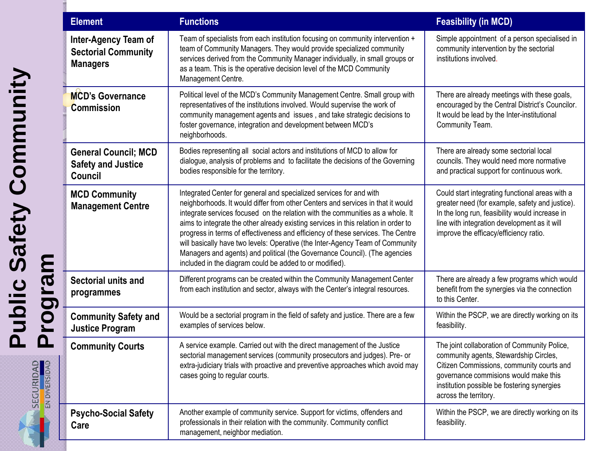| <b>Element</b>                                                        | <b>Functions</b>                                                                                                                                                                                                                                                                                                                                                                                                                                                                                                                                                                                                                            | <b>Feasibility (in MCD)</b>                                                                                                                                                                                                                          |
|-----------------------------------------------------------------------|---------------------------------------------------------------------------------------------------------------------------------------------------------------------------------------------------------------------------------------------------------------------------------------------------------------------------------------------------------------------------------------------------------------------------------------------------------------------------------------------------------------------------------------------------------------------------------------------------------------------------------------------|------------------------------------------------------------------------------------------------------------------------------------------------------------------------------------------------------------------------------------------------------|
| Inter-Agency Team of<br><b>Sectorial Community</b><br><b>Managers</b> | Team of specialists from each institution focusing on community intervention +<br>team of Community Managers. They would provide specialized community<br>services derived from the Community Manager individually, in small groups or<br>as a team. This is the operative decision level of the MCD Community<br>Management Centre.                                                                                                                                                                                                                                                                                                        | Simple appointment of a person specialised in<br>community intervention by the sectorial<br>institutions involved.                                                                                                                                   |
| <b>MCD's Governance</b><br><b>Commission</b>                          | Political level of the MCD's Community Management Centre. Small group with<br>representatives of the institutions involved. Would supervise the work of<br>community management agents and issues, and take strategic decisions to<br>foster governance, integration and development between MCD's<br>neighborhoods.                                                                                                                                                                                                                                                                                                                        | There are already meetings with these goals,<br>encouraged by the Central District's Councilor.<br>It would be lead by the Inter-institutional<br>Community Team.                                                                                    |
| <b>General Council; MCD</b><br><b>Safety and Justice</b><br>Council   | Bodies representing all social actors and institutions of MCD to allow for<br>dialogue, analysis of problems and to facilitate the decisions of the Governing<br>bodies responsible for the territory.                                                                                                                                                                                                                                                                                                                                                                                                                                      | There are already some sectorial local<br>councils. They would need more normative<br>and practical support for continuous work.                                                                                                                     |
| <b>MCD Community</b><br><b>Management Centre</b>                      | Integrated Center for general and specialized services for and with<br>neighborhoods. It would differ from other Centers and services in that it would<br>integrate services focused on the relation with the communities as a whole. It<br>aims to integrate the other already existing services in this relation in order to<br>progress in terms of effectiveness and efficiency of these services. The Centre<br>will basically have two levels: Operative (the Inter-Agency Team of Community<br>Managers and agents) and political (the Governance Council). (The agencies<br>included in the diagram could be added to or modified). | Could start integrating functional areas with a<br>greater need (for example, safety and justice).<br>In the long run, feasibility would increase in<br>line with integration development as it will<br>improve the efficacy/efficiency ratio.       |
| Sectorial units and<br>programmes                                     | Different programs can be created within the Community Management Center<br>from each institution and sector, always with the Center's integral resources.                                                                                                                                                                                                                                                                                                                                                                                                                                                                                  | There are already a few programs which would<br>benefit from the synergies via the connection<br>to this Center.                                                                                                                                     |
| <b>Community Safety and</b><br><b>Justice Program</b>                 | Would be a sectorial program in the field of safety and justice. There are a few<br>examples of services below.                                                                                                                                                                                                                                                                                                                                                                                                                                                                                                                             | Within the PSCP, we are directly working on its<br>feasibility.                                                                                                                                                                                      |
| <b>Community Courts</b>                                               | A service example. Carried out with the direct management of the Justice<br>sectorial management services (community prosecutors and judges). Pre- or<br>extra-judiciary trials with proactive and preventive approaches which avoid may<br>cases going to regular courts.                                                                                                                                                                                                                                                                                                                                                                  | The joint collaboration of Community Police,<br>community agents, Stewardship Circles,<br>Citizen Commissions, community courts and<br>governance commisions would make this<br>institution possible be fostering synergies<br>across the territory. |
| <b>Psycho-Social Safety</b><br>Care                                   | Another example of community service. Support for victims, offenders and<br>professionals in their relation with the community. Community conflict<br>management, neighbor mediation.                                                                                                                                                                                                                                                                                                                                                                                                                                                       | Within the PSCP, we are directly working on its<br>feasibility.                                                                                                                                                                                      |